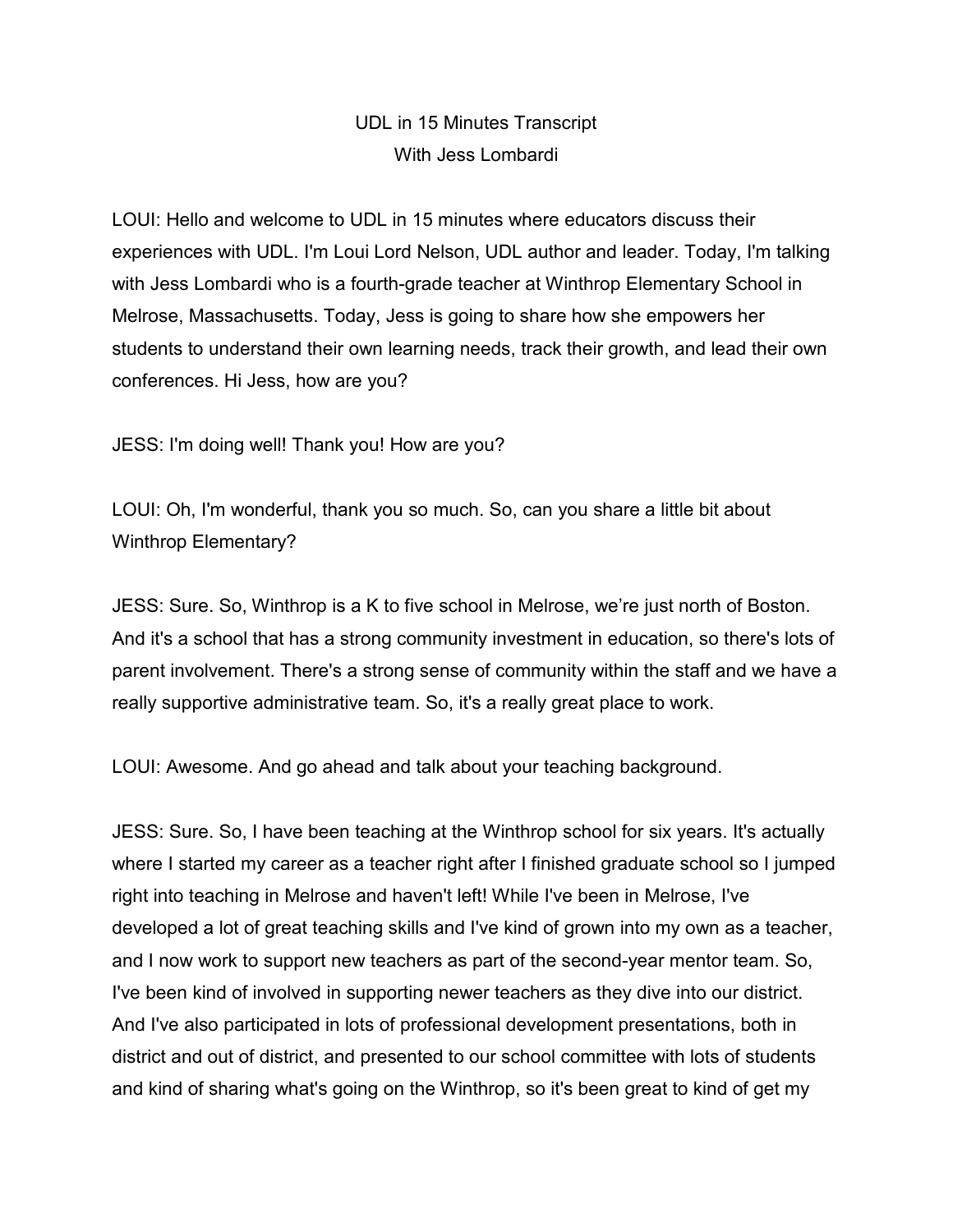## UDL in 15 Minutes Transcript With Jess Lombardi

LOUI: Hello and welcome to UDL in 15 minutes where educators discuss their experiences with UDL. I'm Loui Lord Nelson, UDL author and leader. Today, I'm talking with Jess Lombardi who is a fourth-grade teacher at Winthrop Elementary School in Melrose, Massachusetts. Today, Jess is going to share how she empowers her students to understand their own learning needs, track their growth, and lead their own conferences. Hi Jess, how are you?

JESS: I'm doing well! Thank you! How are you?

LOUI: Oh, I'm wonderful, thank you so much. So, can you share a little bit about Winthrop Elementary?

JESS: Sure. So, Winthrop is a K to five school in Melrose, we're just north of Boston. And it's a school that has a strong community investment in education, so there's lots of parent involvement. There's a strong sense of community within the staff and we have a really supportive administrative team. So, it's a really great place to work.

LOUI: Awesome. And go ahead and talk about your teaching background.

JESS: Sure. So, I have been teaching at the Winthrop school for six years. It's actually where I started my career as a teacher right after I finished graduate school so I jumped right into teaching in Melrose and haven't left! While I've been in Melrose, I've developed a lot of great teaching skills and I've kind of grown into my own as a teacher, and I now work to support new teachers as part of the second-year mentor team. So, I've been kind of involved in supporting newer teachers as they dive into our district. And I've also participated in lots of professional development presentations, both in district and out of district, and presented to our school committee with lots of students and kind of sharing what's going on the Winthrop, so it's been great to kind of get my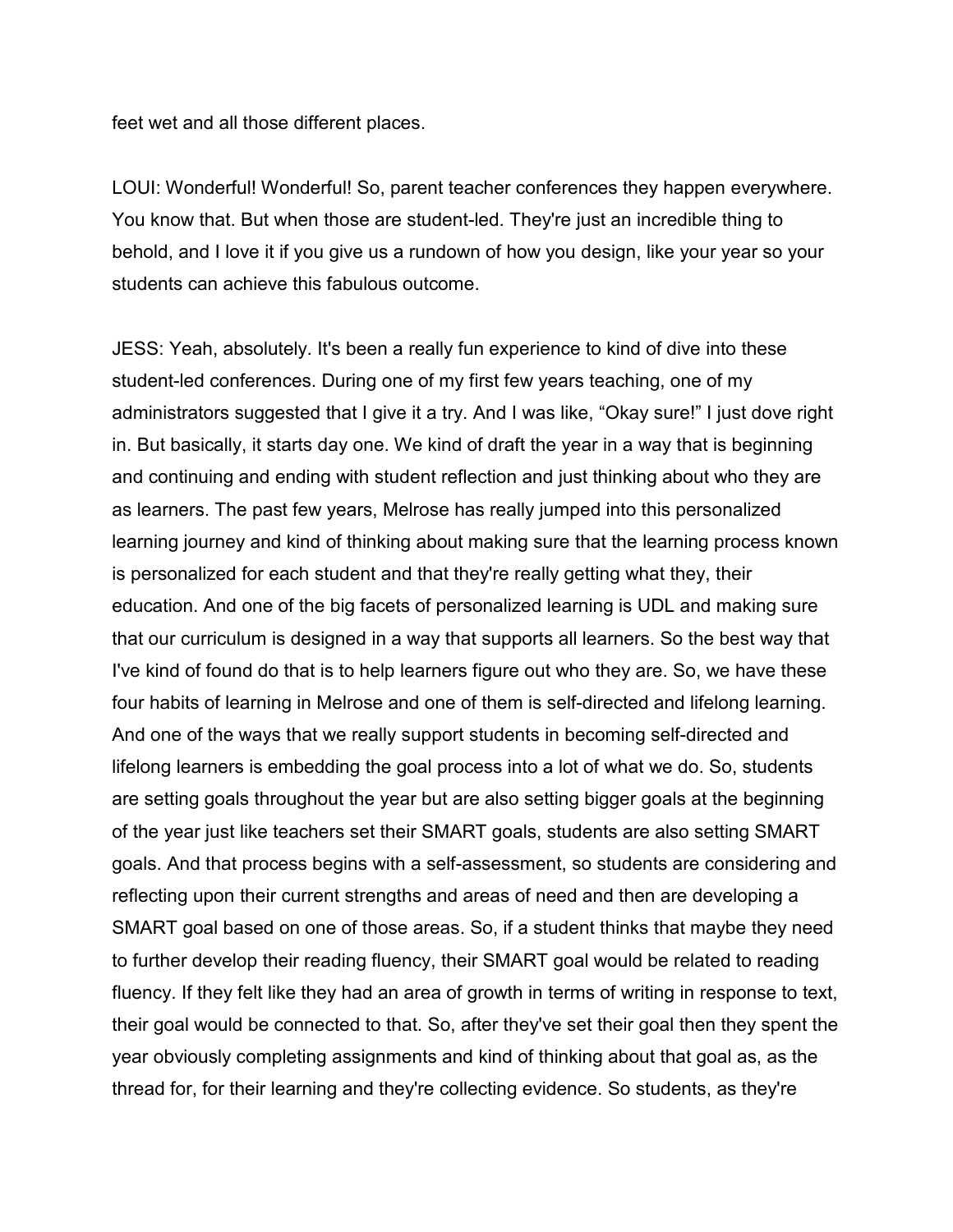feet wet and all those different places.

LOUI: Wonderful! Wonderful! So, parent teacher conferences they happen everywhere. You know that. But when those are student-led. They're just an incredible thing to behold, and I love it if you give us a rundown of how you design, like your year so your students can achieve this fabulous outcome.

JESS: Yeah, absolutely. It's been a really fun experience to kind of dive into these student-led conferences. During one of my first few years teaching, one of my administrators suggested that I give it a try. And I was like, "Okay sure!" I just dove right in. But basically, it starts day one. We kind of draft the year in a way that is beginning and continuing and ending with student reflection and just thinking about who they are as learners. The past few years, Melrose has really jumped into this personalized learning journey and kind of thinking about making sure that the learning process known is personalized for each student and that they're really getting what they, their education. And one of the big facets of personalized learning is UDL and making sure that our curriculum is designed in a way that supports all learners. So the best way that I've kind of found do that is to help learners figure out who they are. So, we have these four habits of learning in Melrose and one of them is self-directed and lifelong learning. And one of the ways that we really support students in becoming self-directed and lifelong learners is embedding the goal process into a lot of what we do. So, students are setting goals throughout the year but are also setting bigger goals at the beginning of the year just like teachers set their SMART goals, students are also setting SMART goals. And that process begins with a self-assessment, so students are considering and reflecting upon their current strengths and areas of need and then are developing a SMART goal based on one of those areas. So, if a student thinks that maybe they need to further develop their reading fluency, their SMART goal would be related to reading fluency. If they felt like they had an area of growth in terms of writing in response to text, their goal would be connected to that. So, after they've set their goal then they spent the year obviously completing assignments and kind of thinking about that goal as, as the thread for, for their learning and they're collecting evidence. So students, as they're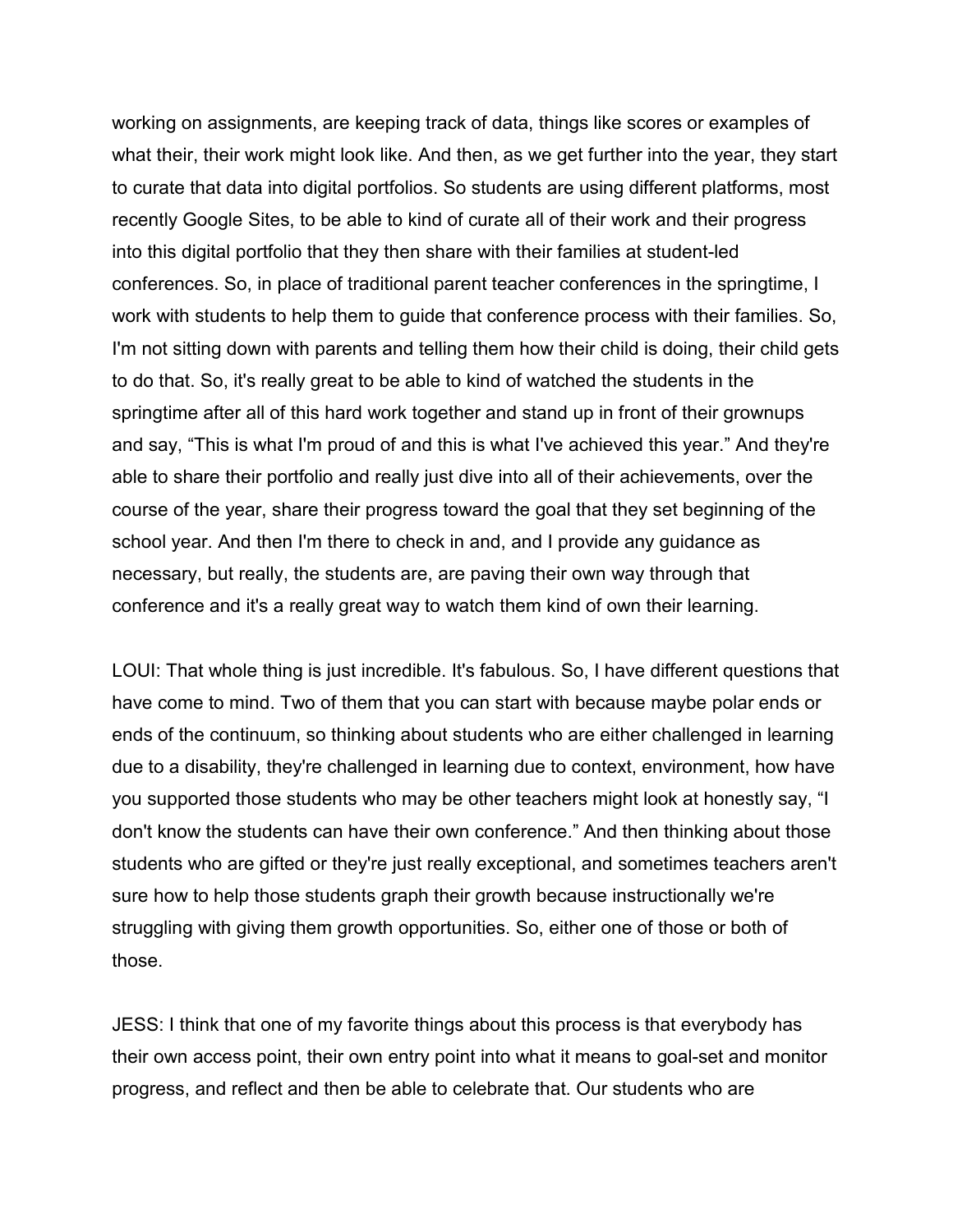working on assignments, are keeping track of data, things like scores or examples of what their, their work might look like. And then, as we get further into the year, they start to curate that data into digital portfolios. So students are using different platforms, most recently Google Sites, to be able to kind of curate all of their work and their progress into this digital portfolio that they then share with their families at student-led conferences. So, in place of traditional parent teacher conferences in the springtime, I work with students to help them to guide that conference process with their families. So, I'm not sitting down with parents and telling them how their child is doing, their child gets to do that. So, it's really great to be able to kind of watched the students in the springtime after all of this hard work together and stand up in front of their grownups and say, "This is what I'm proud of and this is what I've achieved this year." And they're able to share their portfolio and really just dive into all of their achievements, over the course of the year, share their progress toward the goal that they set beginning of the school year. And then I'm there to check in and, and I provide any guidance as necessary, but really, the students are, are paving their own way through that conference and it's a really great way to watch them kind of own their learning.

LOUI: That whole thing is just incredible. It's fabulous. So, I have different questions that have come to mind. Two of them that you can start with because maybe polar ends or ends of the continuum, so thinking about students who are either challenged in learning due to a disability, they're challenged in learning due to context, environment, how have you supported those students who may be other teachers might look at honestly say, "I don't know the students can have their own conference." And then thinking about those students who are gifted or they're just really exceptional, and sometimes teachers aren't sure how to help those students graph their growth because instructionally we're struggling with giving them growth opportunities. So, either one of those or both of those.

JESS: I think that one of my favorite things about this process is that everybody has their own access point, their own entry point into what it means to goal-set and monitor progress, and reflect and then be able to celebrate that. Our students who are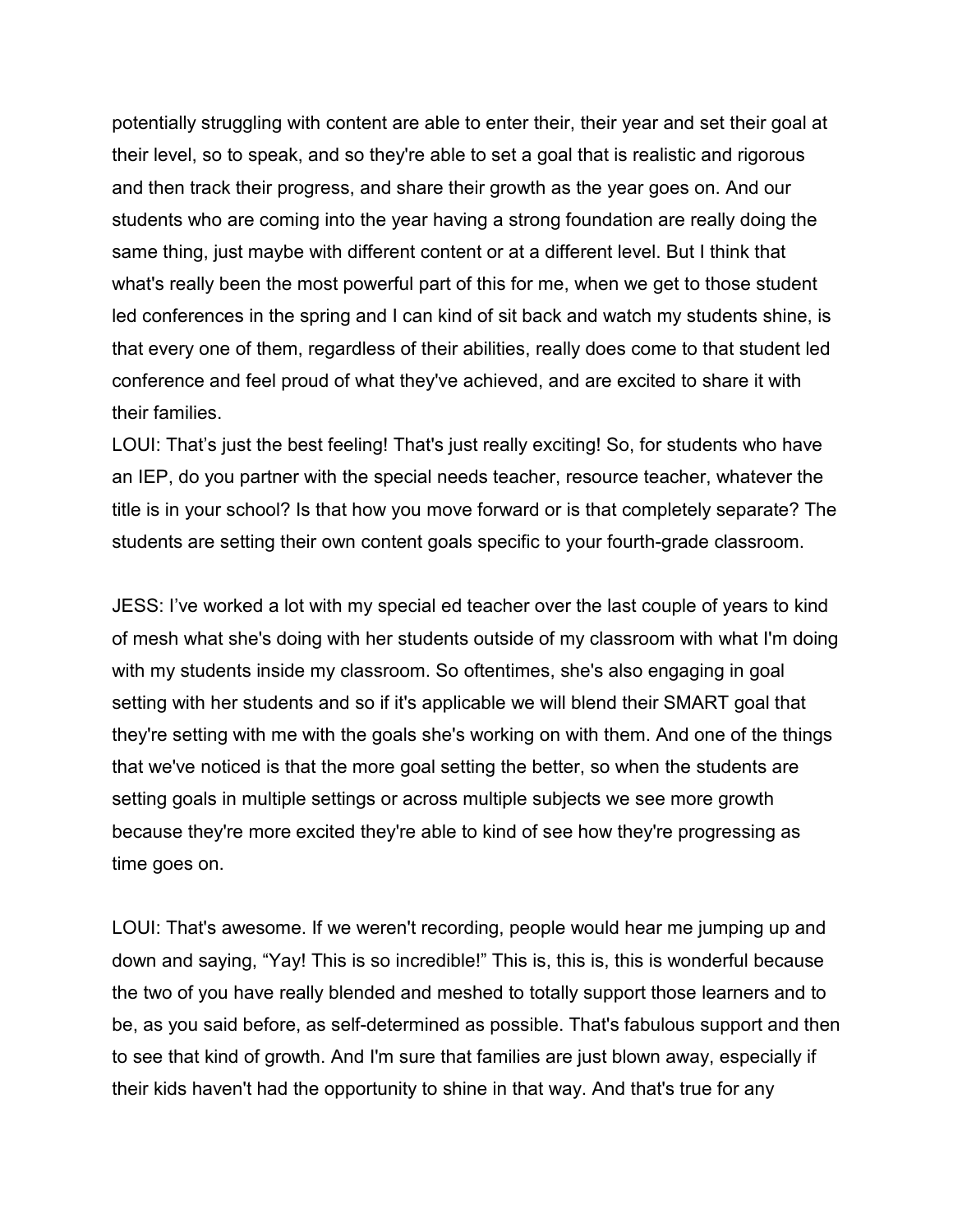potentially struggling with content are able to enter their, their year and set their goal at their level, so to speak, and so they're able to set a goal that is realistic and rigorous and then track their progress, and share their growth as the year goes on. And our students who are coming into the year having a strong foundation are really doing the same thing, just maybe with different content or at a different level. But I think that what's really been the most powerful part of this for me, when we get to those student led conferences in the spring and I can kind of sit back and watch my students shine, is that every one of them, regardless of their abilities, really does come to that student led conference and feel proud of what they've achieved, and are excited to share it with their families.

LOUI: That's just the best feeling! That's just really exciting! So, for students who have an IEP, do you partner with the special needs teacher, resource teacher, whatever the title is in your school? Is that how you move forward or is that completely separate? The students are setting their own content goals specific to your fourth-grade classroom.

JESS: I've worked a lot with my special ed teacher over the last couple of years to kind of mesh what she's doing with her students outside of my classroom with what I'm doing with my students inside my classroom. So oftentimes, she's also engaging in goal setting with her students and so if it's applicable we will blend their SMART goal that they're setting with me with the goals she's working on with them. And one of the things that we've noticed is that the more goal setting the better, so when the students are setting goals in multiple settings or across multiple subjects we see more growth because they're more excited they're able to kind of see how they're progressing as time goes on.

LOUI: That's awesome. If we weren't recording, people would hear me jumping up and down and saying, "Yay! This is so incredible!" This is, this is, this is wonderful because the two of you have really blended and meshed to totally support those learners and to be, as you said before, as self-determined as possible. That's fabulous support and then to see that kind of growth. And I'm sure that families are just blown away, especially if their kids haven't had the opportunity to shine in that way. And that's true for any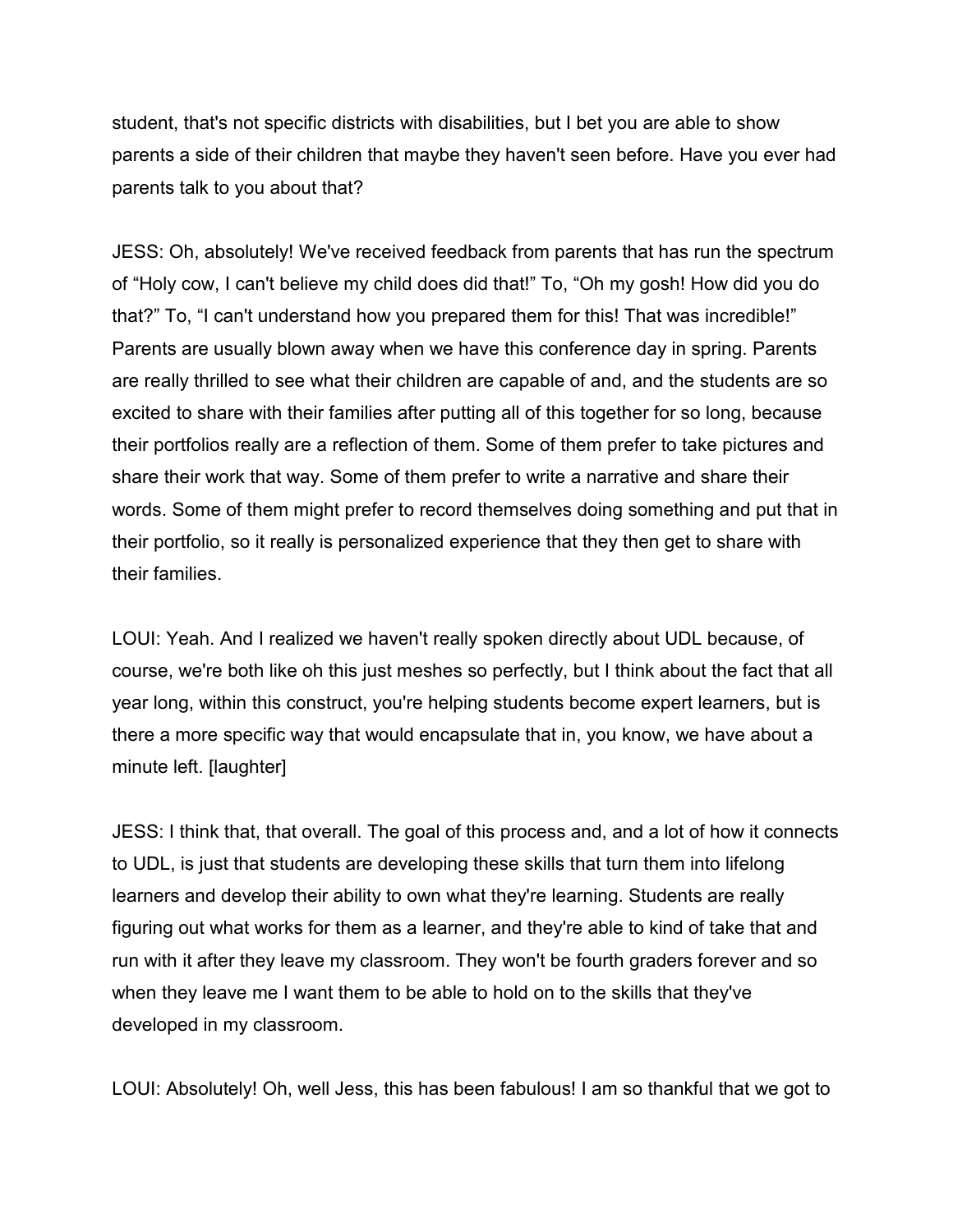student, that's not specific districts with disabilities, but I bet you are able to show parents a side of their children that maybe they haven't seen before. Have you ever had parents talk to you about that?

JESS: Oh, absolutely! We've received feedback from parents that has run the spectrum of "Holy cow, I can't believe my child does did that!" To, "Oh my gosh! How did you do that?" To, "I can't understand how you prepared them for this! That was incredible!" Parents are usually blown away when we have this conference day in spring. Parents are really thrilled to see what their children are capable of and, and the students are so excited to share with their families after putting all of this together for so long, because their portfolios really are a reflection of them. Some of them prefer to take pictures and share their work that way. Some of them prefer to write a narrative and share their words. Some of them might prefer to record themselves doing something and put that in their portfolio, so it really is personalized experience that they then get to share with their families.

LOUI: Yeah. And I realized we haven't really spoken directly about UDL because, of course, we're both like oh this just meshes so perfectly, but I think about the fact that all year long, within this construct, you're helping students become expert learners, but is there a more specific way that would encapsulate that in, you know, we have about a minute left. [laughter]

JESS: I think that, that overall. The goal of this process and, and a lot of how it connects to UDL, is just that students are developing these skills that turn them into lifelong learners and develop their ability to own what they're learning. Students are really figuring out what works for them as a learner, and they're able to kind of take that and run with it after they leave my classroom. They won't be fourth graders forever and so when they leave me I want them to be able to hold on to the skills that they've developed in my classroom.

LOUI: Absolutely! Oh, well Jess, this has been fabulous! I am so thankful that we got to